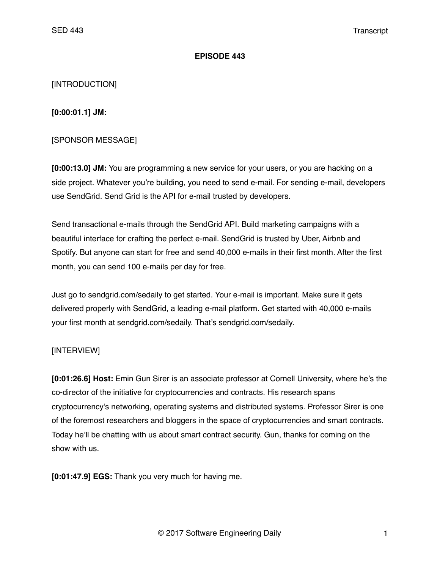#### **EPISODE 443**

### [INTRODUCTION]

**[0:00:01.1] JM:**

### [SPONSOR MESSAGE]

**[0:00:13.0] JM:** You are programming a new service for your users, or you are hacking on a side project. Whatever you're building, you need to send e-mail. For sending e-mail, developers use SendGrid. Send Grid is the API for e-mail trusted by developers.

Send transactional e-mails through the SendGrid API. Build marketing campaigns with a beautiful interface for crafting the perfect e-mail. SendGrid is trusted by Uber, Airbnb and Spotify. But anyone can start for free and send 40,000 e-mails in their first month. After the first month, you can send 100 e-mails per day for free.

Just go to sendgrid.com/sedaily to get started. Your e-mail is important. Make sure it gets delivered properly with SendGrid, a leading e-mail platform. Get started with 40,000 e-mails your first month at sendgrid.com/sedaily. That's sendgrid.com/sedaily.

### [INTERVIEW]

**[0:01:26.6] Host:** Emin Gun Sirer is an associate professor at Cornell University, where he's the co-director of the initiative for cryptocurrencies and contracts. His research spans cryptocurrency's networking, operating systems and distributed systems. Professor Sirer is one of the foremost researchers and bloggers in the space of cryptocurrencies and smart contracts. Today he'll be chatting with us about smart contract security. Gun, thanks for coming on the show with us.

**[0:01:47.9] EGS:** Thank you very much for having me.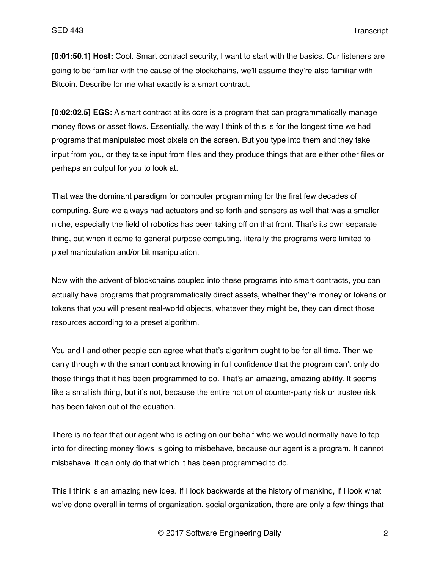**[0:01:50.1] Host:** Cool. Smart contract security, I want to start with the basics. Our listeners are going to be familiar with the cause of the blockchains, we'll assume they're also familiar with Bitcoin. Describe for me what exactly is a smart contract.

**[0:02:02.5] EGS:** A smart contract at its core is a program that can programmatically manage money flows or asset flows. Essentially, the way I think of this is for the longest time we had programs that manipulated most pixels on the screen. But you type into them and they take input from you, or they take input from files and they produce things that are either other files or perhaps an output for you to look at.

That was the dominant paradigm for computer programming for the first few decades of computing. Sure we always had actuators and so forth and sensors as well that was a smaller niche, especially the field of robotics has been taking off on that front. That's its own separate thing, but when it came to general purpose computing, literally the programs were limited to pixel manipulation and/or bit manipulation.

Now with the advent of blockchains coupled into these programs into smart contracts, you can actually have programs that programmatically direct assets, whether they're money or tokens or tokens that you will present real-world objects, whatever they might be, they can direct those resources according to a preset algorithm.

You and I and other people can agree what that's algorithm ought to be for all time. Then we carry through with the smart contract knowing in full confidence that the program can't only do those things that it has been programmed to do. That's an amazing, amazing ability. It seems like a smallish thing, but it's not, because the entire notion of counter-party risk or trustee risk has been taken out of the equation.

There is no fear that our agent who is acting on our behalf who we would normally have to tap into for directing money flows is going to misbehave, because our agent is a program. It cannot misbehave. It can only do that which it has been programmed to do.

This I think is an amazing new idea. If I look backwards at the history of mankind, if I look what we've done overall in terms of organization, social organization, there are only a few things that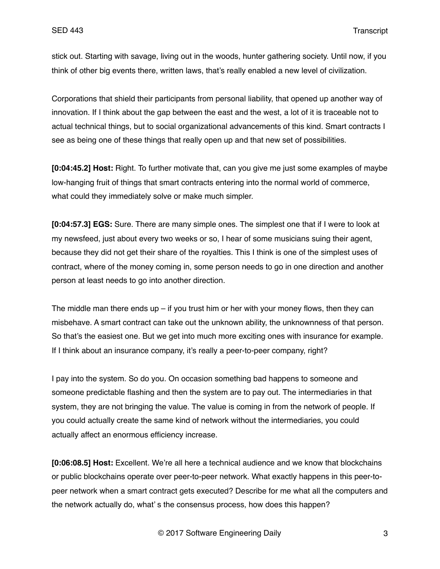stick out. Starting with savage, living out in the woods, hunter gathering society. Until now, if you think of other big events there, written laws, that's really enabled a new level of civilization.

Corporations that shield their participants from personal liability, that opened up another way of innovation. If I think about the gap between the east and the west, a lot of it is traceable not to actual technical things, but to social organizational advancements of this kind. Smart contracts I see as being one of these things that really open up and that new set of possibilities.

**[0:04:45.2] Host:** Right. To further motivate that, can you give me just some examples of maybe low-hanging fruit of things that smart contracts entering into the normal world of commerce, what could they immediately solve or make much simpler.

**[0:04:57.3] EGS:** Sure. There are many simple ones. The simplest one that if I were to look at my newsfeed, just about every two weeks or so, I hear of some musicians suing their agent, because they did not get their share of the royalties. This I think is one of the simplest uses of contract, where of the money coming in, some person needs to go in one direction and another person at least needs to go into another direction.

The middle man there ends up  $-$  if you trust him or her with your money flows, then they can misbehave. A smart contract can take out the unknown ability, the unknownness of that person. So that's the easiest one. But we get into much more exciting ones with insurance for example. If I think about an insurance company, it's really a peer-to-peer company, right?

I pay into the system. So do you. On occasion something bad happens to someone and someone predictable flashing and then the system are to pay out. The intermediaries in that system, they are not bringing the value. The value is coming in from the network of people. If you could actually create the same kind of network without the intermediaries, you could actually affect an enormous efficiency increase.

**[0:06:08.5] Host:** Excellent. We're all here a technical audience and we know that blockchains or public blockchains operate over peer-to-peer network. What exactly happens in this peer-topeer network when a smart contract gets executed? Describe for me what all the computers and the network actually do, what' s the consensus process, how does this happen?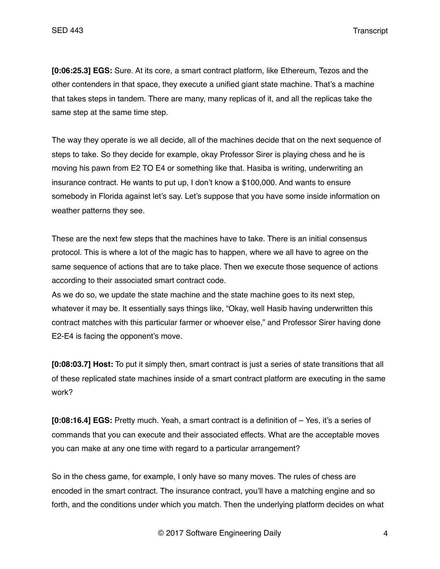**[0:06:25.3] EGS:** Sure. At its core, a smart contract platform, like Ethereum, Tezos and the other contenders in that space, they execute a unified giant state machine. That's a machine that takes steps in tandem. There are many, many replicas of it, and all the replicas take the same step at the same time step.

The way they operate is we all decide, all of the machines decide that on the next sequence of steps to take. So they decide for example, okay Professor Sirer is playing chess and he is moving his pawn from E2 TO E4 or something like that. Hasiba is writing, underwriting an insurance contract. He wants to put up, I don't know a \$100,000. And wants to ensure somebody in Florida against let's say. Let's suppose that you have some inside information on weather patterns they see.

These are the next few steps that the machines have to take. There is an initial consensus protocol. This is where a lot of the magic has to happen, where we all have to agree on the same sequence of actions that are to take place. Then we execute those sequence of actions according to their associated smart contract code.

As we do so, we update the state machine and the state machine goes to its next step, whatever it may be. It essentially says things like, "Okay, well Hasib having underwritten this contract matches with this particular farmer or whoever else," and Professor Sirer having done E2-E4 is facing the opponent's move.

**[0:08:03.7] Host:** To put it simply then, smart contract is just a series of state transitions that all of these replicated state machines inside of a smart contract platform are executing in the same work?

**[0:08:16.4] EGS:** Pretty much. Yeah, a smart contract is a definition of – Yes, it's a series of commands that you can execute and their associated effects. What are the acceptable moves you can make at any one time with regard to a particular arrangement?

So in the chess game, for example, I only have so many moves. The rules of chess are encoded in the smart contract. The insurance contract, you'll have a matching engine and so forth, and the conditions under which you match. Then the underlying platform decides on what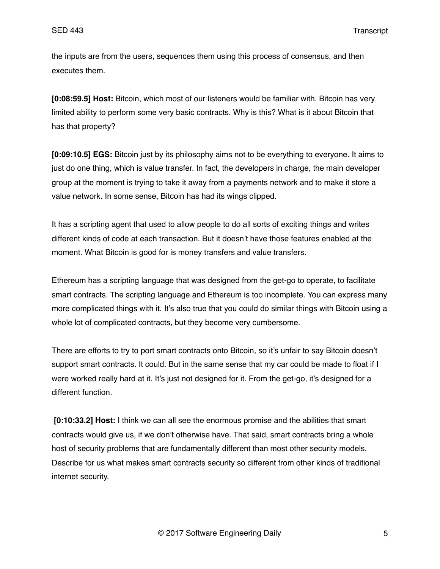the inputs are from the users, sequences them using this process of consensus, and then executes them.

**[0:08:59.5] Host:** Bitcoin, which most of our listeners would be familiar with. Bitcoin has very limited ability to perform some very basic contracts. Why is this? What is it about Bitcoin that has that property?

**[0:09:10.5] EGS:** Bitcoin just by its philosophy aims not to be everything to everyone. It aims to just do one thing, which is value transfer. In fact, the developers in charge, the main developer group at the moment is trying to take it away from a payments network and to make it store a value network. In some sense, Bitcoin has had its wings clipped.

It has a scripting agent that used to allow people to do all sorts of exciting things and writes different kinds of code at each transaction. But it doesn't have those features enabled at the moment. What Bitcoin is good for is money transfers and value transfers.

Ethereum has a scripting language that was designed from the get-go to operate, to facilitate smart contracts. The scripting language and Ethereum is too incomplete. You can express many more complicated things with it. It's also true that you could do similar things with Bitcoin using a whole lot of complicated contracts, but they become very cumbersome.

There are efforts to try to port smart contracts onto Bitcoin, so it's unfair to say Bitcoin doesn't support smart contracts. It could. But in the same sense that my car could be made to float if I were worked really hard at it. It's just not designed for it. From the get-go, it's designed for a different function.

**[0:10:33.2] Host:** I think we can all see the enormous promise and the abilities that smart contracts would give us, if we don't otherwise have. That said, smart contracts bring a whole host of security problems that are fundamentally different than most other security models. Describe for us what makes smart contracts security so different from other kinds of traditional internet security.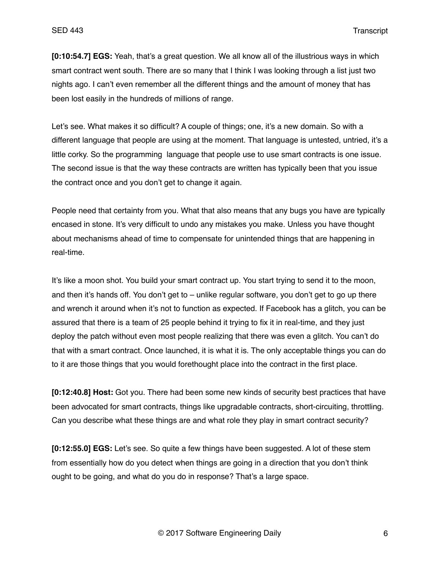**[0:10:54.7] EGS:** Yeah, that's a great question. We all know all of the illustrious ways in which smart contract went south. There are so many that I think I was looking through a list just two nights ago. I can't even remember all the different things and the amount of money that has been lost easily in the hundreds of millions of range.

Let's see. What makes it so difficult? A couple of things; one, it's a new domain. So with a different language that people are using at the moment. That language is untested, untried, it's a little corky. So the programming language that people use to use smart contracts is one issue. The second issue is that the way these contracts are written has typically been that you issue the contract once and you don't get to change it again.

People need that certainty from you. What that also means that any bugs you have are typically encased in stone. It's very difficult to undo any mistakes you make. Unless you have thought about mechanisms ahead of time to compensate for unintended things that are happening in real-time.

It's like a moon shot. You build your smart contract up. You start trying to send it to the moon, and then it's hands off. You don't get to – unlike regular software, you don't get to go up there and wrench it around when it's not to function as expected. If Facebook has a glitch, you can be assured that there is a team of 25 people behind it trying to fix it in real-time, and they just deploy the patch without even most people realizing that there was even a glitch. You can't do that with a smart contract. Once launched, it is what it is. The only acceptable things you can do to it are those things that you would forethought place into the contract in the first place.

**[0:12:40.8] Host:** Got you. There had been some new kinds of security best practices that have been advocated for smart contracts, things like upgradable contracts, short-circuiting, throttling. Can you describe what these things are and what role they play in smart contract security?

**[0:12:55.0] EGS:** Let's see. So quite a few things have been suggested. A lot of these stem from essentially how do you detect when things are going in a direction that you don't think ought to be going, and what do you do in response? That's a large space.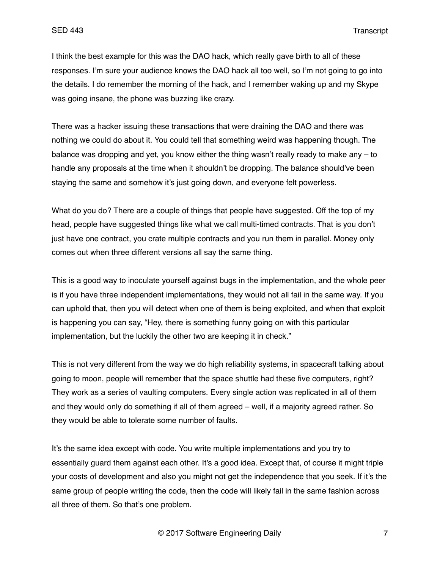I think the best example for this was the DAO hack, which really gave birth to all of these responses. I'm sure your audience knows the DAO hack all too well, so I'm not going to go into the details. I do remember the morning of the hack, and I remember waking up and my Skype was going insane, the phone was buzzing like crazy.

There was a hacker issuing these transactions that were draining the DAO and there was nothing we could do about it. You could tell that something weird was happening though. The balance was dropping and yet, you know either the thing wasn't really ready to make any – to handle any proposals at the time when it shouldn't be dropping. The balance should've been staying the same and somehow it's just going down, and everyone felt powerless.

What do you do? There are a couple of things that people have suggested. Off the top of my head, people have suggested things like what we call multi-timed contracts. That is you don't just have one contract, you crate multiple contracts and you run them in parallel. Money only comes out when three different versions all say the same thing.

This is a good way to inoculate yourself against bugs in the implementation, and the whole peer is if you have three independent implementations, they would not all fail in the same way. If you can uphold that, then you will detect when one of them is being exploited, and when that exploit is happening you can say, "Hey, there is something funny going on with this particular implementation, but the luckily the other two are keeping it in check."

This is not very different from the way we do high reliability systems, in spacecraft talking about going to moon, people will remember that the space shuttle had these five computers, right? They work as a series of vaulting computers. Every single action was replicated in all of them and they would only do something if all of them agreed – well, if a majority agreed rather. So they would be able to tolerate some number of faults.

It's the same idea except with code. You write multiple implementations and you try to essentially guard them against each other. It's a good idea. Except that, of course it might triple your costs of development and also you might not get the independence that you seek. If it's the same group of people writing the code, then the code will likely fail in the same fashion across all three of them. So that's one problem.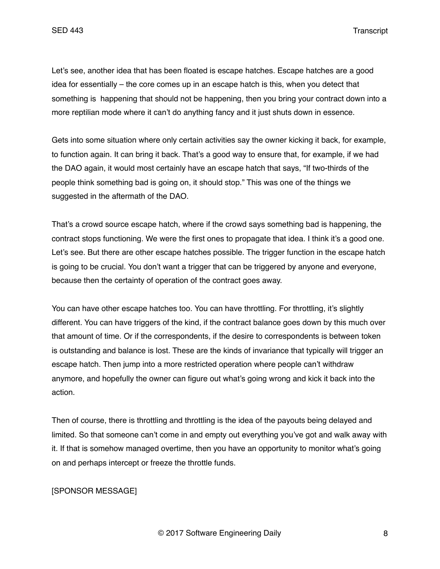Let's see, another idea that has been floated is escape hatches. Escape hatches are a good idea for essentially – the core comes up in an escape hatch is this, when you detect that something is happening that should not be happening, then you bring your contract down into a more reptilian mode where it can't do anything fancy and it just shuts down in essence.

Gets into some situation where only certain activities say the owner kicking it back, for example, to function again. It can bring it back. That's a good way to ensure that, for example, if we had the DAO again, it would most certainly have an escape hatch that says, "If two-thirds of the people think something bad is going on, it should stop." This was one of the things we suggested in the aftermath of the DAO.

That's a crowd source escape hatch, where if the crowd says something bad is happening, the contract stops functioning. We were the first ones to propagate that idea. I think it's a good one. Let's see. But there are other escape hatches possible. The trigger function in the escape hatch is going to be crucial. You don't want a trigger that can be triggered by anyone and everyone, because then the certainty of operation of the contract goes away.

You can have other escape hatches too. You can have throttling. For throttling, it's slightly different. You can have triggers of the kind, if the contract balance goes down by this much over that amount of time. Or if the correspondents, if the desire to correspondents is between token is outstanding and balance is lost. These are the kinds of invariance that typically will trigger an escape hatch. Then jump into a more restricted operation where people can't withdraw anymore, and hopefully the owner can figure out what's going wrong and kick it back into the action.

Then of course, there is throttling and throttling is the idea of the payouts being delayed and limited. So that someone can't come in and empty out everything you've got and walk away with it. If that is somehow managed overtime, then you have an opportunity to monitor what's going on and perhaps intercept or freeze the throttle funds.

# [SPONSOR MESSAGE]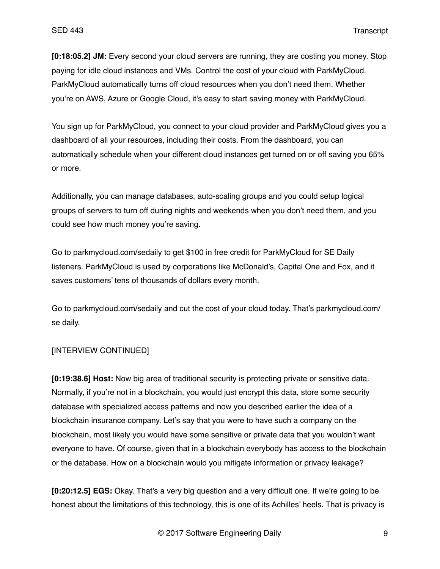**[0:18:05.2] JM:** Every second your cloud servers are running, they are costing you money. Stop paying for idle cloud instances and VMs. Control the cost of your cloud with ParkMyCloud. ParkMyCloud automatically turns off cloud resources when you don't need them. Whether you're on AWS, Azure or Google Cloud, it's easy to start saving money with ParkMyCloud.

You sign up for ParkMyCloud, you connect to your cloud provider and ParkMyCloud gives you a dashboard of all your resources, including their costs. From the dashboard, you can automatically schedule when your different cloud instances get turned on or off saving you 65% or more.

Additionally, you can manage databases, auto-scaling groups and you could setup logical groups of servers to turn off during nights and weekends when you don't need them, and you could see how much money you're saving.

Go to parkmycloud.com/sedaily to get \$100 in free credit for ParkMyCloud for SE Daily listeners. ParkMyCloud is used by corporations like McDonald's, Capital One and Fox, and it saves customers' tens of thousands of dollars every month.

Go to parkmycloud.com/sedaily and cut the cost of your cloud today. That's parkmycloud.com/ se daily.

### [INTERVIEW CONTINUED]

**[0:19:38.6] Host:** Now big area of traditional security is protecting private or sensitive data. Normally, if you're not in a blockchain, you would just encrypt this data, store some security database with specialized access patterns and now you described earlier the idea of a blockchain insurance company. Let's say that you were to have such a company on the blockchain, most likely you would have some sensitive or private data that you wouldn't want everyone to have. Of course, given that in a blockchain everybody has access to the blockchain or the database. How on a blockchain would you mitigate information or privacy leakage?

**[0:20:12.5] EGS:** Okay. That's a very big question and a very difficult one. If we're going to be honest about the limitations of this technology, this is one of its Achilles' heels. That is privacy is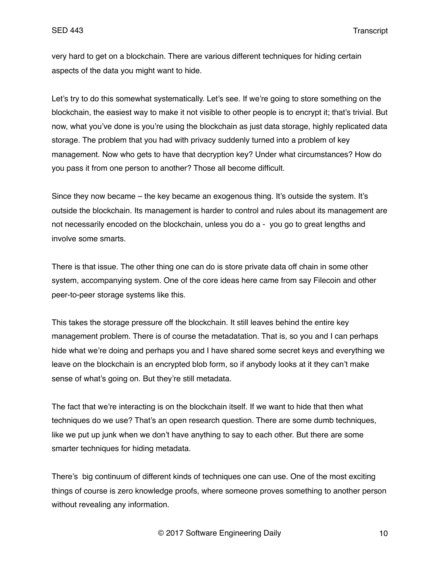very hard to get on a blockchain. There are various different techniques for hiding certain aspects of the data you might want to hide.

Let's try to do this somewhat systematically. Let's see. If we're going to store something on the blockchain, the easiest way to make it not visible to other people is to encrypt it; that's trivial. But now, what you've done is you're using the blockchain as just data storage, highly replicated data storage. The problem that you had with privacy suddenly turned into a problem of key management. Now who gets to have that decryption key? Under what circumstances? How do you pass it from one person to another? Those all become difficult.

Since they now became – the key became an exogenous thing. It's outside the system. It's outside the blockchain. Its management is harder to control and rules about its management are not necessarily encoded on the blockchain, unless you do a - you go to great lengths and involve some smarts.

There is that issue. The other thing one can do is store private data off chain in some other system, accompanying system. One of the core ideas here came from say Filecoin and other peer-to-peer storage systems like this.

This takes the storage pressure off the blockchain. It still leaves behind the entire key management problem. There is of course the metadatation. That is, so you and I can perhaps hide what we're doing and perhaps you and I have shared some secret keys and everything we leave on the blockchain is an encrypted blob form, so if anybody looks at it they can't make sense of what's going on. But they're still metadata.

The fact that we're interacting is on the blockchain itself. If we want to hide that then what techniques do we use? That's an open research question. There are some dumb techniques, like we put up junk when we don't have anything to say to each other. But there are some smarter techniques for hiding metadata.

There's big continuum of different kinds of techniques one can use. One of the most exciting things of course is zero knowledge proofs, where someone proves something to another person without revealing any information.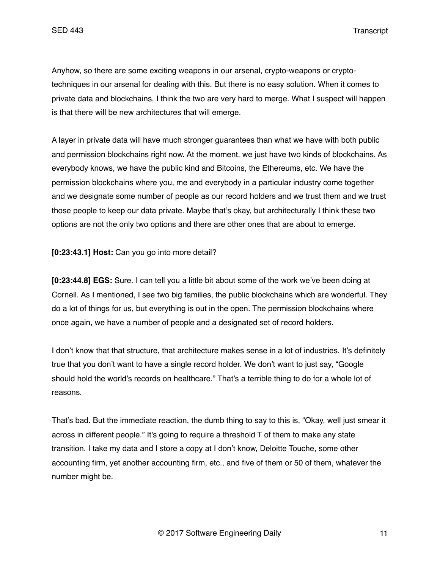Anyhow, so there are some exciting weapons in our arsenal, crypto-weapons or cryptotechniques in our arsenal for dealing with this. But there is no easy solution. When it comes to private data and blockchains, I think the two are very hard to merge. What I suspect will happen is that there will be new architectures that will emerge.

A layer in private data will have much stronger guarantees than what we have with both public and permission blockchains right now. At the moment, we just have two kinds of blockchains. As everybody knows, we have the public kind and Bitcoins, the Ethereums, etc. We have the permission blockchains where you, me and everybody in a particular industry come together and we designate some number of people as our record holders and we trust them and we trust those people to keep our data private. Maybe that's okay, but architecturally I think these two options are not the only two options and there are other ones that are about to emerge.

**[0:23:43.1] Host:** Can you go into more detail?

**[0:23:44.8] EGS:** Sure. I can tell you a little bit about some of the work we've been doing at Cornell. As I mentioned, I see two big families, the public blockchains which are wonderful. They do a lot of things for us, but everything is out in the open. The permission blockchains where once again, we have a number of people and a designated set of record holders.

I don't know that that structure, that architecture makes sense in a lot of industries. It's definitely true that you don't want to have a single record holder. We don't want to just say, "Google should hold the world's records on healthcare." That's a terrible thing to do for a whole lot of reasons.

That's bad. But the immediate reaction, the dumb thing to say to this is, "Okay, well just smear it across in different people." It's going to require a threshold T of them to make any state transition. I take my data and I store a copy at I don't know, Deloitte Touche, some other accounting firm, yet another accounting firm, etc., and five of them or 50 of them, whatever the number might be.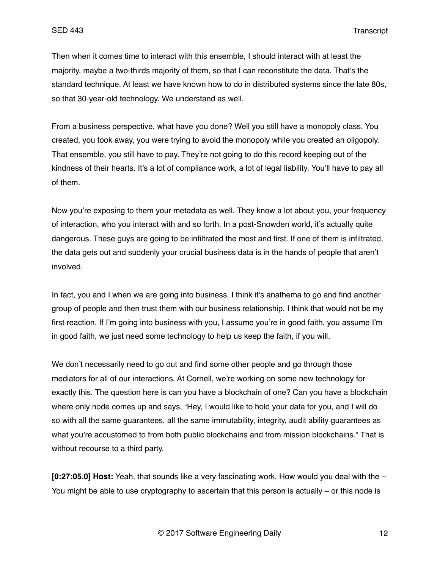Then when it comes time to interact with this ensemble, I should interact with at least the majority, maybe a two-thirds majority of them, so that I can reconstitute the data. That's the standard technique. At least we have known how to do in distributed systems since the late 80s, so that 30-year-old technology. We understand as well.

From a business perspective, what have you done? Well you still have a monopoly class. You created, you took away, you were trying to avoid the monopoly while you created an oligopoly. That ensemble, you still have to pay. They're not going to do this record keeping out of the kindness of their hearts. It's a lot of compliance work, a lot of legal liability. You'll have to pay all of them.

Now you're exposing to them your metadata as well. They know a lot about you, your frequency of interaction, who you interact with and so forth. In a post-Snowden world, it's actually quite dangerous. These guys are going to be infiltrated the most and first. If one of them is infiltrated, the data gets out and suddenly your crucial business data is in the hands of people that aren't involved.

In fact, you and I when we are going into business, I think it's anathema to go and find another group of people and then trust them with our business relationship. I think that would not be my first reaction. If I'm going into business with you, I assume you're in good faith, you assume I'm in good faith, we just need some technology to help us keep the faith, if you will.

We don't necessarily need to go out and find some other people and go through those mediators for all of our interactions. At Cornell, we're working on some new technology for exactly this. The question here is can you have a blockchain of one? Can you have a blockchain where only node comes up and says, "Hey, I would like to hold your data for you, and I will do so with all the same guarantees, all the same immutability, integrity, audit ability guarantees as what you're accustomed to from both public blockchains and from mission blockchains." That is without recourse to a third party.

**[0:27:05.0] Host:** Yeah, that sounds like a very fascinating work. How would you deal with the – You might be able to use cryptography to ascertain that this person is actually – or this node is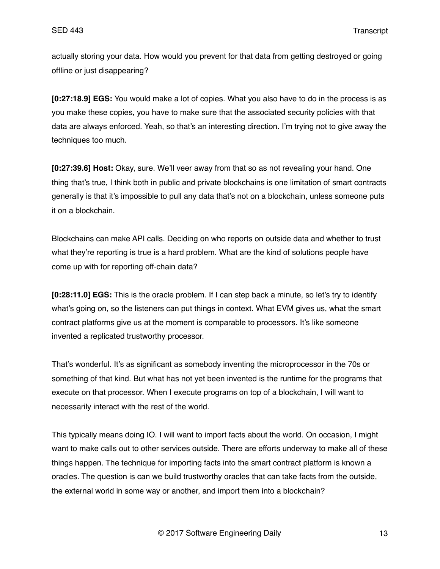actually storing your data. How would you prevent for that data from getting destroyed or going offline or just disappearing?

**[0:27:18.9] EGS:** You would make a lot of copies. What you also have to do in the process is as you make these copies, you have to make sure that the associated security policies with that data are always enforced. Yeah, so that's an interesting direction. I'm trying not to give away the techniques too much.

**[0:27:39.6] Host:** Okay, sure. We'll veer away from that so as not revealing your hand. One thing that's true, I think both in public and private blockchains is one limitation of smart contracts generally is that it's impossible to pull any data that's not on a blockchain, unless someone puts it on a blockchain.

Blockchains can make API calls. Deciding on who reports on outside data and whether to trust what they're reporting is true is a hard problem. What are the kind of solutions people have come up with for reporting off-chain data?

**[0:28:11.0] EGS:** This is the oracle problem. If I can step back a minute, so let's try to identify what's going on, so the listeners can put things in context. What EVM gives us, what the smart contract platforms give us at the moment is comparable to processors. It's like someone invented a replicated trustworthy processor.

That's wonderful. It's as significant as somebody inventing the microprocessor in the 70s or something of that kind. But what has not yet been invented is the runtime for the programs that execute on that processor. When I execute programs on top of a blockchain, I will want to necessarily interact with the rest of the world.

This typically means doing IO. I will want to import facts about the world. On occasion, I might want to make calls out to other services outside. There are efforts underway to make all of these things happen. The technique for importing facts into the smart contract platform is known a oracles. The question is can we build trustworthy oracles that can take facts from the outside, the external world in some way or another, and import them into a blockchain?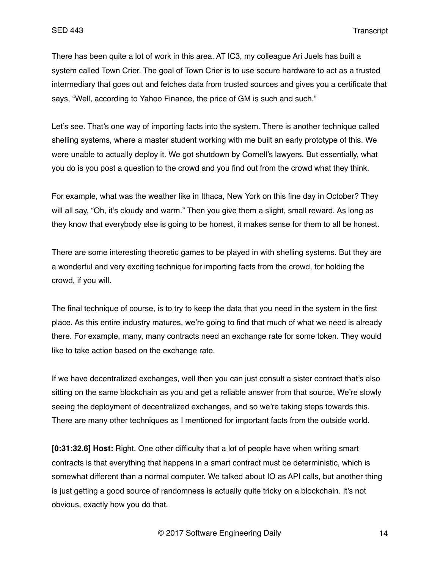There has been quite a lot of work in this area. AT IC3, my colleague Ari Juels has built a system called Town Crier. The goal of Town Crier is to use secure hardware to act as a trusted intermediary that goes out and fetches data from trusted sources and gives you a certificate that says, "Well, according to Yahoo Finance, the price of GM is such and such."

Let's see. That's one way of importing facts into the system. There is another technique called shelling systems, where a master student working with me built an early prototype of this. We were unable to actually deploy it. We got shutdown by Cornell's lawyers. But essentially, what you do is you post a question to the crowd and you find out from the crowd what they think.

For example, what was the weather like in Ithaca, New York on this fine day in October? They will all say, "Oh, it's cloudy and warm." Then you give them a slight, small reward. As long as they know that everybody else is going to be honest, it makes sense for them to all be honest.

There are some interesting theoretic games to be played in with shelling systems. But they are a wonderful and very exciting technique for importing facts from the crowd, for holding the crowd, if you will.

The final technique of course, is to try to keep the data that you need in the system in the first place. As this entire industry matures, we're going to find that much of what we need is already there. For example, many, many contracts need an exchange rate for some token. They would like to take action based on the exchange rate.

If we have decentralized exchanges, well then you can just consult a sister contract that's also sitting on the same blockchain as you and get a reliable answer from that source. We're slowly seeing the deployment of decentralized exchanges, and so we're taking steps towards this. There are many other techniques as I mentioned for important facts from the outside world.

**[0:31:32.6] Host:** Right. One other difficulty that a lot of people have when writing smart contracts is that everything that happens in a smart contract must be deterministic, which is somewhat different than a normal computer. We talked about IO as API calls, but another thing is just getting a good source of randomness is actually quite tricky on a blockchain. It's not obvious, exactly how you do that.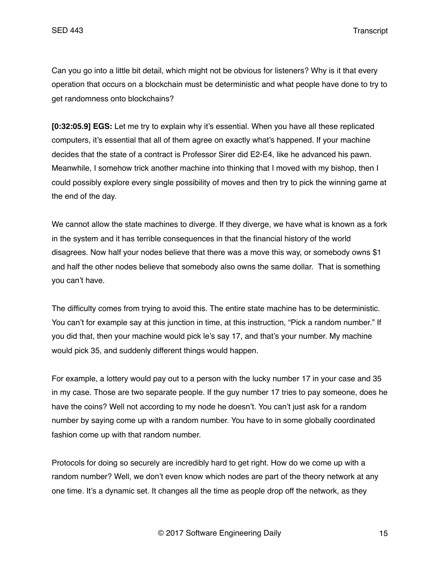Can you go into a little bit detail, which might not be obvious for listeners? Why is it that every operation that occurs on a blockchain must be deterministic and what people have done to try to get randomness onto blockchains?

**[0:32:05.9] EGS:** Let me try to explain why it's essential. When you have all these replicated computers, it's essential that all of them agree on exactly what's happened. If your machine decides that the state of a contract is Professor Sirer did E2-E4, like he advanced his pawn. Meanwhile, I somehow trick another machine into thinking that I moved with my bishop, then I could possibly explore every single possibility of moves and then try to pick the winning game at the end of the day.

We cannot allow the state machines to diverge. If they diverge, we have what is known as a fork in the system and it has terrible consequences in that the financial history of the world disagrees. Now half your nodes believe that there was a move this way, or somebody owns \$1 and half the other nodes believe that somebody also owns the same dollar. That is something you can't have.

The difficulty comes from trying to avoid this. The entire state machine has to be deterministic. You can't for example say at this junction in time, at this instruction, "Pick a random number." If you did that, then your machine would pick le's say 17, and that's your number. My machine would pick 35, and suddenly different things would happen.

For example, a lottery would pay out to a person with the lucky number 17 in your case and 35 in my case. Those are two separate people. If the guy number 17 tries to pay someone, does he have the coins? Well not according to my node he doesn't. You can't just ask for a random number by saying come up with a random number. You have to in some globally coordinated fashion come up with that random number.

Protocols for doing so securely are incredibly hard to get right. How do we come up with a random number? Well, we don't even know which nodes are part of the theory network at any one time. It's a dynamic set. It changes all the time as people drop off the network, as they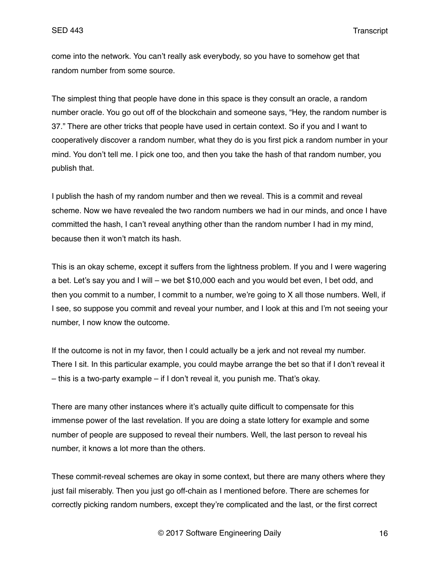come into the network. You can't really ask everybody, so you have to somehow get that random number from some source.

The simplest thing that people have done in this space is they consult an oracle, a random number oracle. You go out off of the blockchain and someone says, "Hey, the random number is 37." There are other tricks that people have used in certain context. So if you and I want to cooperatively discover a random number, what they do is you first pick a random number in your mind. You don't tell me. I pick one too, and then you take the hash of that random number, you publish that.

I publish the hash of my random number and then we reveal. This is a commit and reveal scheme. Now we have revealed the two random numbers we had in our minds, and once I have committed the hash, I can't reveal anything other than the random number I had in my mind, because then it won't match its hash.

This is an okay scheme, except it suffers from the lightness problem. If you and I were wagering a bet. Let's say you and I will – we bet \$10,000 each and you would bet even, I bet odd, and then you commit to a number, I commit to a number, we're going to X all those numbers. Well, if I see, so suppose you commit and reveal your number, and I look at this and I'm not seeing your number, I now know the outcome.

If the outcome is not in my favor, then I could actually be a jerk and not reveal my number. There I sit. In this particular example, you could maybe arrange the bet so that if I don't reveal it – this is a two-party example – if I don't reveal it, you punish me. That's okay.

There are many other instances where it's actually quite difficult to compensate for this immense power of the last revelation. If you are doing a state lottery for example and some number of people are supposed to reveal their numbers. Well, the last person to reveal his number, it knows a lot more than the others.

These commit-reveal schemes are okay in some context, but there are many others where they just fail miserably. Then you just go off-chain as I mentioned before. There are schemes for correctly picking random numbers, except they're complicated and the last, or the first correct

© 2017 Software Engineering Daily 16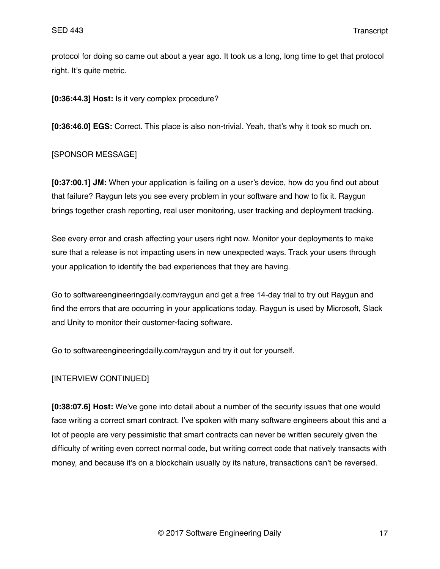protocol for doing so came out about a year ago. It took us a long, long time to get that protocol right. It's quite metric.

**[0:36:44.3] Host:** Is it very complex procedure?

**[0:36:46.0] EGS:** Correct. This place is also non-trivial. Yeah, that's why it took so much on.

### [SPONSOR MESSAGE]

**[0:37:00.1] JM:** When your application is failing on a user's device, how do you find out about that failure? Raygun lets you see every problem in your software and how to fix it. Raygun brings together crash reporting, real user monitoring, user tracking and deployment tracking.

See every error and crash affecting your users right now. Monitor your deployments to make sure that a release is not impacting users in new unexpected ways. Track your users through your application to identify the bad experiences that they are having.

Go to softwareengineeringdaily.com/raygun and get a free 14-day trial to try out Raygun and find the errors that are occurring in your applications today. Raygun is used by Microsoft, Slack and Unity to monitor their customer-facing software.

Go to softwareengineeringdailly.com/raygun and try it out for yourself.

### [INTERVIEW CONTINUED]

**[0:38:07.6] Host:** We've gone into detail about a number of the security issues that one would face writing a correct smart contract. I've spoken with many software engineers about this and a lot of people are very pessimistic that smart contracts can never be written securely given the difficulty of writing even correct normal code, but writing correct code that natively transacts with money, and because it's on a blockchain usually by its nature, transactions can't be reversed.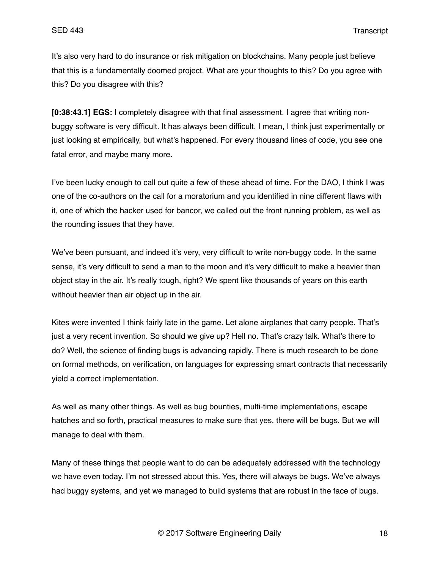It's also very hard to do insurance or risk mitigation on blockchains. Many people just believe that this is a fundamentally doomed project. What are your thoughts to this? Do you agree with this? Do you disagree with this?

**[0:38:43.1] EGS:** I completely disagree with that final assessment. I agree that writing nonbuggy software is very difficult. It has always been difficult. I mean, I think just experimentally or just looking at empirically, but what's happened. For every thousand lines of code, you see one fatal error, and maybe many more.

I've been lucky enough to call out quite a few of these ahead of time. For the DAO, I think I was one of the co-authors on the call for a moratorium and you identified in nine different flaws with it, one of which the hacker used for bancor, we called out the front running problem, as well as the rounding issues that they have.

We've been pursuant, and indeed it's very, very difficult to write non-buggy code. In the same sense, it's very difficult to send a man to the moon and it's very difficult to make a heavier than object stay in the air. It's really tough, right? We spent like thousands of years on this earth without heavier than air object up in the air.

Kites were invented I think fairly late in the game. Let alone airplanes that carry people. That's just a very recent invention. So should we give up? Hell no. That's crazy talk. What's there to do? Well, the science of finding bugs is advancing rapidly. There is much research to be done on formal methods, on verification, on languages for expressing smart contracts that necessarily yield a correct implementation.

As well as many other things. As well as bug bounties, multi-time implementations, escape hatches and so forth, practical measures to make sure that yes, there will be bugs. But we will manage to deal with them.

Many of these things that people want to do can be adequately addressed with the technology we have even today. I'm not stressed about this. Yes, there will always be bugs. We've always had buggy systems, and yet we managed to build systems that are robust in the face of bugs.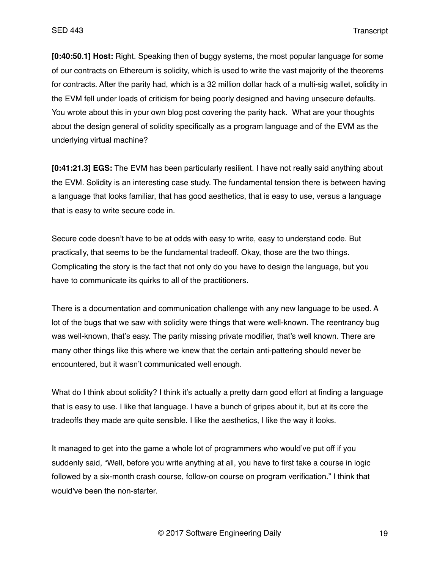**[0:40:50.1] Host:** Right. Speaking then of buggy systems, the most popular language for some of our contracts on Ethereum is solidity, which is used to write the vast majority of the theorems for contracts. After the parity had, which is a 32 million dollar hack of a multi-sig wallet, solidity in the EVM fell under loads of criticism for being poorly designed and having unsecure defaults. You wrote about this in your own blog post covering the parity hack. What are your thoughts about the design general of solidity specifically as a program language and of the EVM as the underlying virtual machine?

**[0:41:21.3] EGS:** The EVM has been particularly resilient. I have not really said anything about the EVM. Solidity is an interesting case study. The fundamental tension there is between having a language that looks familiar, that has good aesthetics, that is easy to use, versus a language that is easy to write secure code in.

Secure code doesn't have to be at odds with easy to write, easy to understand code. But practically, that seems to be the fundamental tradeoff. Okay, those are the two things. Complicating the story is the fact that not only do you have to design the language, but you have to communicate its quirks to all of the practitioners.

There is a documentation and communication challenge with any new language to be used. A lot of the bugs that we saw with solidity were things that were well-known. The reentrancy bug was well-known, that's easy. The parity missing private modifier, that's well known. There are many other things like this where we knew that the certain anti-pattering should never be encountered, but it wasn't communicated well enough.

What do I think about solidity? I think it's actually a pretty darn good effort at finding a language that is easy to use. I like that language. I have a bunch of gripes about it, but at its core the tradeoffs they made are quite sensible. I like the aesthetics, I like the way it looks.

It managed to get into the game a whole lot of programmers who would've put off if you suddenly said, "Well, before you write anything at all, you have to first take a course in logic followed by a six-month crash course, follow-on course on program verification." I think that would've been the non-starter.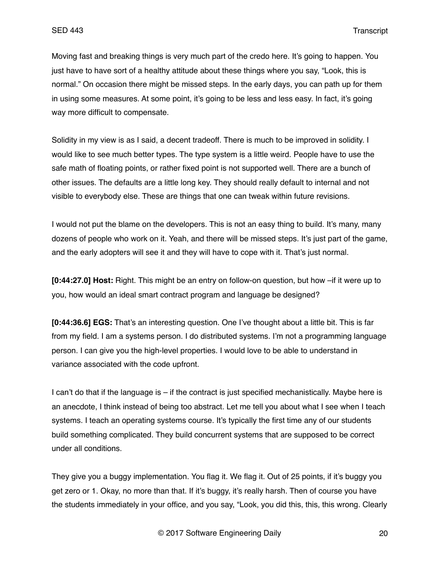Moving fast and breaking things is very much part of the credo here. It's going to happen. You just have to have sort of a healthy attitude about these things where you say, "Look, this is normal." On occasion there might be missed steps. In the early days, you can path up for them in using some measures. At some point, it's going to be less and less easy. In fact, it's going way more difficult to compensate.

Solidity in my view is as I said, a decent tradeoff. There is much to be improved in solidity. I would like to see much better types. The type system is a little weird. People have to use the safe math of floating points, or rather fixed point is not supported well. There are a bunch of other issues. The defaults are a little long key. They should really default to internal and not visible to everybody else. These are things that one can tweak within future revisions.

I would not put the blame on the developers. This is not an easy thing to build. It's many, many dozens of people who work on it. Yeah, and there will be missed steps. It's just part of the game, and the early adopters will see it and they will have to cope with it. That's just normal.

**[0:44:27.0] Host:** Right. This might be an entry on follow-on question, but how –if it were up to you, how would an ideal smart contract program and language be designed?

**[0:44:36.6] EGS:** That's an interesting question. One I've thought about a little bit. This is far from my field. I am a systems person. I do distributed systems. I'm not a programming language person. I can give you the high-level properties. I would love to be able to understand in variance associated with the code upfront.

I can't do that if the language is – if the contract is just specified mechanistically. Maybe here is an anecdote, I think instead of being too abstract. Let me tell you about what I see when I teach systems. I teach an operating systems course. It's typically the first time any of our students build something complicated. They build concurrent systems that are supposed to be correct under all conditions.

They give you a buggy implementation. You flag it. We flag it. Out of 25 points, if it's buggy you get zero or 1. Okay, no more than that. If it's buggy, it's really harsh. Then of course you have the students immediately in your office, and you say, "Look, you did this, this, this wrong. Clearly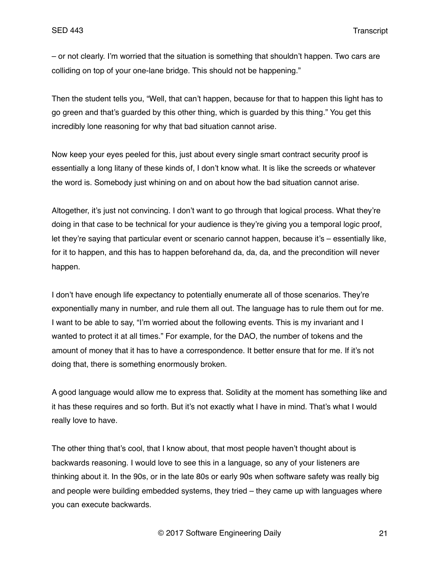– or not clearly. I'm worried that the situation is something that shouldn't happen. Two cars are colliding on top of your one-lane bridge. This should not be happening."

Then the student tells you, "Well, that can't happen, because for that to happen this light has to go green and that's guarded by this other thing, which is guarded by this thing." You get this incredibly lone reasoning for why that bad situation cannot arise.

Now keep your eyes peeled for this, just about every single smart contract security proof is essentially a long litany of these kinds of, I don't know what. It is like the screeds or whatever the word is. Somebody just whining on and on about how the bad situation cannot arise.

Altogether, it's just not convincing. I don't want to go through that logical process. What they're doing in that case to be technical for your audience is they're giving you a temporal logic proof, let they're saying that particular event or scenario cannot happen, because it's – essentially like, for it to happen, and this has to happen beforehand da, da, da, and the precondition will never happen.

I don't have enough life expectancy to potentially enumerate all of those scenarios. They're exponentially many in number, and rule them all out. The language has to rule them out for me. I want to be able to say, "I'm worried about the following events. This is my invariant and I wanted to protect it at all times." For example, for the DAO, the number of tokens and the amount of money that it has to have a correspondence. It better ensure that for me. If it's not doing that, there is something enormously broken.

A good language would allow me to express that. Solidity at the moment has something like and it has these requires and so forth. But it's not exactly what I have in mind. That's what I would really love to have.

The other thing that's cool, that I know about, that most people haven't thought about is backwards reasoning. I would love to see this in a language, so any of your listeners are thinking about it. In the 90s, or in the late 80s or early 90s when software safety was really big and people were building embedded systems, they tried – they came up with languages where you can execute backwards.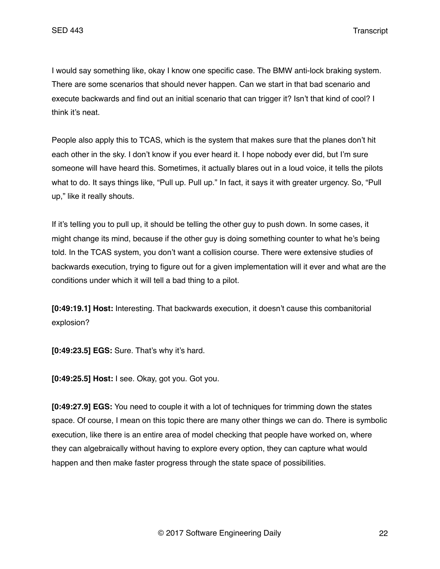I would say something like, okay I know one specific case. The BMW anti-lock braking system. There are some scenarios that should never happen. Can we start in that bad scenario and execute backwards and find out an initial scenario that can trigger it? Isn't that kind of cool? I think it's neat.

People also apply this to TCAS, which is the system that makes sure that the planes don't hit each other in the sky. I don't know if you ever heard it. I hope nobody ever did, but I'm sure someone will have heard this. Sometimes, it actually blares out in a loud voice, it tells the pilots what to do. It says things like, "Pull up. Pull up." In fact, it says it with greater urgency. So, "Pull" up," like it really shouts.

If it's telling you to pull up, it should be telling the other guy to push down. In some cases, it might change its mind, because if the other guy is doing something counter to what he's being told. In the TCAS system, you don't want a collision course. There were extensive studies of backwards execution, trying to figure out for a given implementation will it ever and what are the conditions under which it will tell a bad thing to a pilot.

**[0:49:19.1] Host:** Interesting. That backwards execution, it doesn't cause this combanitorial explosion?

**[0:49:23.5] EGS:** Sure. That's why it's hard.

**[0:49:25.5] Host:** I see. Okay, got you. Got you.

**[0:49:27.9] EGS:** You need to couple it with a lot of techniques for trimming down the states space. Of course, I mean on this topic there are many other things we can do. There is symbolic execution, like there is an entire area of model checking that people have worked on, where they can algebraically without having to explore every option, they can capture what would happen and then make faster progress through the state space of possibilities.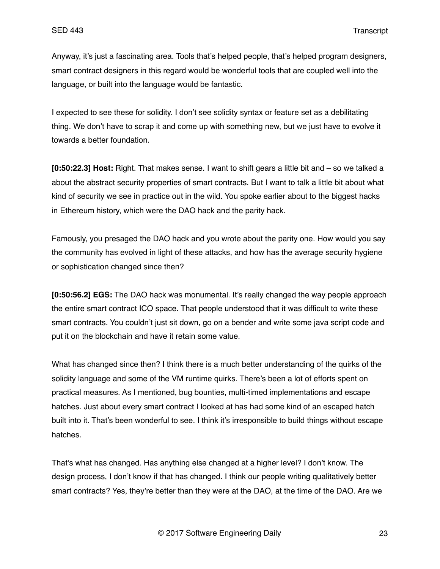Anyway, it's just a fascinating area. Tools that's helped people, that's helped program designers, smart contract designers in this regard would be wonderful tools that are coupled well into the language, or built into the language would be fantastic.

I expected to see these for solidity. I don't see solidity syntax or feature set as a debilitating thing. We don't have to scrap it and come up with something new, but we just have to evolve it towards a better foundation.

**[0:50:22.3] Host:** Right. That makes sense. I want to shift gears a little bit and – so we talked a about the abstract security properties of smart contracts. But I want to talk a little bit about what kind of security we see in practice out in the wild. You spoke earlier about to the biggest hacks in Ethereum history, which were the DAO hack and the parity hack.

Famously, you presaged the DAO hack and you wrote about the parity one. How would you say the community has evolved in light of these attacks, and how has the average security hygiene or sophistication changed since then?

**[0:50:56.2] EGS:** The DAO hack was monumental. It's really changed the way people approach the entire smart contract ICO space. That people understood that it was difficult to write these smart contracts. You couldn't just sit down, go on a bender and write some java script code and put it on the blockchain and have it retain some value.

What has changed since then? I think there is a much better understanding of the quirks of the solidity language and some of the VM runtime quirks. There's been a lot of efforts spent on practical measures. As I mentioned, bug bounties, multi-timed implementations and escape hatches. Just about every smart contract I looked at has had some kind of an escaped hatch built into it. That's been wonderful to see. I think it's irresponsible to build things without escape hatches.

That's what has changed. Has anything else changed at a higher level? I don't know. The design process, I don't know if that has changed. I think our people writing qualitatively better smart contracts? Yes, they're better than they were at the DAO, at the time of the DAO. Are we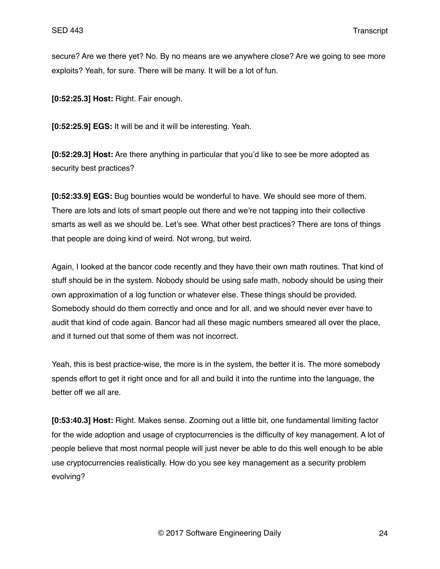secure? Are we there yet? No. By no means are we anywhere close? Are we going to see more exploits? Yeah, for sure. There will be many. It will be a lot of fun.

**[0:52:25.3] Host:** Right. Fair enough.

**[0:52:25.9] EGS:** It will be and it will be interesting. Yeah.

**[0:52:29.3] Host:** Are there anything in particular that you'd like to see be more adopted as security best practices?

**[0:52:33.9] EGS:** Bug bounties would be wonderful to have. We should see more of them. There are lots and lots of smart people out there and we're not tapping into their collective smarts as well as we should be. Let's see. What other best practices? There are tons of things that people are doing kind of weird. Not wrong, but weird.

Again, I looked at the bancor code recently and they have their own math routines. That kind of stuff should be in the system. Nobody should be using safe math, nobody should be using their own approximation of a log function or whatever else. These things should be provided. Somebody should do them correctly and once and for all, and we should never ever have to audit that kind of code again. Bancor had all these magic numbers smeared all over the place, and it turned out that some of them was not incorrect.

Yeah, this is best practice-wise, the more is in the system, the better it is. The more somebody spends effort to get it right once and for all and build it into the runtime into the language, the better off we all are.

**[0:53:40.3] Host:** Right. Makes sense. Zooming out a little bit, one fundamental limiting factor for the wide adoption and usage of cryptocurrencies is the difficulty of key management. A lot of people believe that most normal people will just never be able to do this well enough to be able use cryptocurrencies realistically. How do you see key management as a security problem evolving?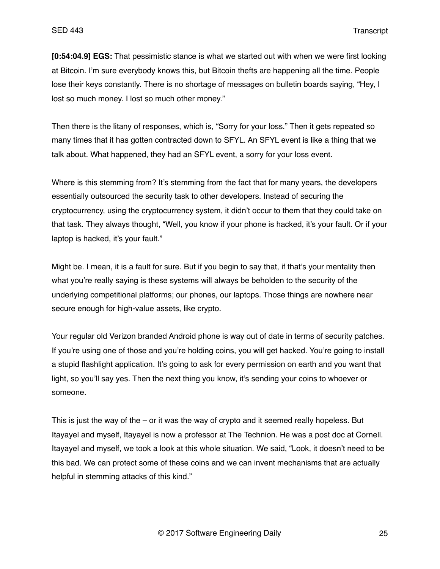**[0:54:04.9] EGS:** That pessimistic stance is what we started out with when we were first looking at Bitcoin. I'm sure everybody knows this, but Bitcoin thefts are happening all the time. People lose their keys constantly. There is no shortage of messages on bulletin boards saying, "Hey, I lost so much money. I lost so much other money."

Then there is the litany of responses, which is, "Sorry for your loss." Then it gets repeated so many times that it has gotten contracted down to SFYL. An SFYL event is like a thing that we talk about. What happened, they had an SFYL event, a sorry for your loss event.

Where is this stemming from? It's stemming from the fact that for many years, the developers essentially outsourced the security task to other developers. Instead of securing the cryptocurrency, using the cryptocurrency system, it didn't occur to them that they could take on that task. They always thought, "Well, you know if your phone is hacked, it's your fault. Or if your laptop is hacked, it's your fault."

Might be. I mean, it is a fault for sure. But if you begin to say that, if that's your mentality then what you're really saying is these systems will always be beholden to the security of the underlying competitional platforms; our phones, our laptops. Those things are nowhere near secure enough for high-value assets, like crypto.

Your regular old Verizon branded Android phone is way out of date in terms of security patches. If you're using one of those and you're holding coins, you will get hacked. You're going to install a stupid flashlight application. It's going to ask for every permission on earth and you want that light, so you'll say yes. Then the next thing you know, it's sending your coins to whoever or someone.

This is just the way of the – or it was the way of crypto and it seemed really hopeless. But Itayayel and myself, Itayayel is now a professor at The Technion. He was a post doc at Cornell. Itayayel and myself, we took a look at this whole situation. We said, "Look, it doesn't need to be this bad. We can protect some of these coins and we can invent mechanisms that are actually helpful in stemming attacks of this kind."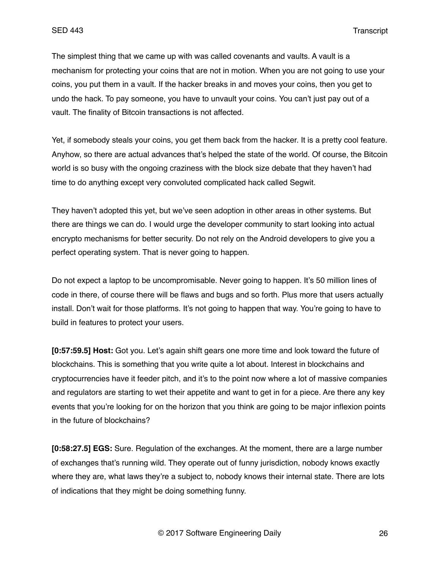The simplest thing that we came up with was called covenants and vaults. A vault is a mechanism for protecting your coins that are not in motion. When you are not going to use your coins, you put them in a vault. If the hacker breaks in and moves your coins, then you get to undo the hack. To pay someone, you have to unvault your coins. You can't just pay out of a vault. The finality of Bitcoin transactions is not affected.

Yet, if somebody steals your coins, you get them back from the hacker. It is a pretty cool feature. Anyhow, so there are actual advances that's helped the state of the world. Of course, the Bitcoin world is so busy with the ongoing craziness with the block size debate that they haven't had time to do anything except very convoluted complicated hack called Segwit.

They haven't adopted this yet, but we've seen adoption in other areas in other systems. But there are things we can do. I would urge the developer community to start looking into actual encrypto mechanisms for better security. Do not rely on the Android developers to give you a perfect operating system. That is never going to happen.

Do not expect a laptop to be uncompromisable. Never going to happen. It's 50 million lines of code in there, of course there will be flaws and bugs and so forth. Plus more that users actually install. Don't wait for those platforms. It's not going to happen that way. You're going to have to build in features to protect your users.

**[0:57:59.5] Host:** Got you. Let's again shift gears one more time and look toward the future of blockchains. This is something that you write quite a lot about. Interest in blockchains and cryptocurrencies have it feeder pitch, and it's to the point now where a lot of massive companies and regulators are starting to wet their appetite and want to get in for a piece. Are there any key events that you're looking for on the horizon that you think are going to be major inflexion points in the future of blockchains?

**[0:58:27.5] EGS:** Sure. Regulation of the exchanges. At the moment, there are a large number of exchanges that's running wild. They operate out of funny jurisdiction, nobody knows exactly where they are, what laws they're a subject to, nobody knows their internal state. There are lots of indications that they might be doing something funny.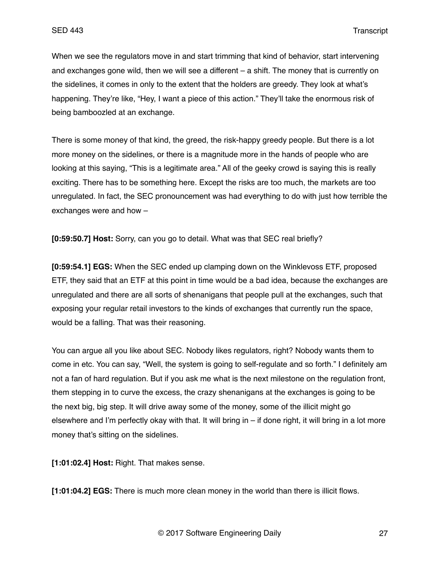When we see the regulators move in and start trimming that kind of behavior, start intervening and exchanges gone wild, then we will see a different – a shift. The money that is currently on the sidelines, it comes in only to the extent that the holders are greedy. They look at what's happening. They're like, "Hey, I want a piece of this action." They'll take the enormous risk of being bamboozled at an exchange.

There is some money of that kind, the greed, the risk-happy greedy people. But there is a lot more money on the sidelines, or there is a magnitude more in the hands of people who are looking at this saying, "This is a legitimate area." All of the geeky crowd is saying this is really exciting. There has to be something here. Except the risks are too much, the markets are too unregulated. In fact, the SEC pronouncement was had everything to do with just how terrible the exchanges were and how –

**[0:59:50.7] Host:** Sorry, can you go to detail. What was that SEC real briefly?

**[0:59:54.1] EGS:** When the SEC ended up clamping down on the Winklevoss ETF, proposed ETF, they said that an ETF at this point in time would be a bad idea, because the exchanges are unregulated and there are all sorts of shenanigans that people pull at the exchanges, such that exposing your regular retail investors to the kinds of exchanges that currently run the space, would be a falling. That was their reasoning.

You can argue all you like about SEC. Nobody likes regulators, right? Nobody wants them to come in etc. You can say, "Well, the system is going to self-regulate and so forth." I definitely am not a fan of hard regulation. But if you ask me what is the next milestone on the regulation front, them stepping in to curve the excess, the crazy shenanigans at the exchanges is going to be the next big, big step. It will drive away some of the money, some of the illicit might go elsewhere and I'm perfectly okay with that. It will bring in – if done right, it will bring in a lot more money that's sitting on the sidelines.

**[1:01:02.4] Host:** Right. That makes sense.

**[1:01:04.2] EGS:** There is much more clean money in the world than there is illicit flows.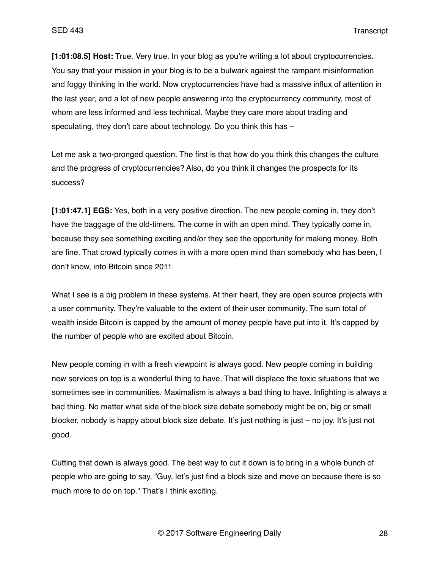**[1:01:08.5] Host:** True. Very true. In your blog as you're writing a lot about cryptocurrencies. You say that your mission in your blog is to be a bulwark against the rampant misinformation and foggy thinking in the world. Now cryptocurrencies have had a massive influx of attention in the last year, and a lot of new people answering into the cryptocurrency community, most of whom are less informed and less technical. Maybe they care more about trading and speculating, they don't care about technology. Do you think this has –

Let me ask a two-pronged question. The first is that how do you think this changes the culture and the progress of cryptocurrencies? Also, do you think it changes the prospects for its success?

**[1:01:47.1] EGS:** Yes, both in a very positive direction. The new people coming in, they don't have the baggage of the old-timers. The come in with an open mind. They typically come in, because they see something exciting and/or they see the opportunity for making money. Both are fine. That crowd typically comes in with a more open mind than somebody who has been, I don't know, into Bitcoin since 2011.

What I see is a big problem in these systems. At their heart, they are open source projects with a user community. They're valuable to the extent of their user community. The sum total of wealth inside Bitcoin is capped by the amount of money people have put into it. It's capped by the number of people who are excited about Bitcoin.

New people coming in with a fresh viewpoint is always good. New people coming in building new services on top is a wonderful thing to have. That will displace the toxic situations that we sometimes see in communities. Maximalism is always a bad thing to have. Infighting is always a bad thing. No matter what side of the block size debate somebody might be on, big or small blocker, nobody is happy about block size debate. It's just nothing is just – no joy. It's just not good.

Cutting that down is always good. The best way to cut it down is to bring in a whole bunch of people who are going to say, "Guy, let's just find a block size and move on because there is so much more to do on top." That's I think exciting.